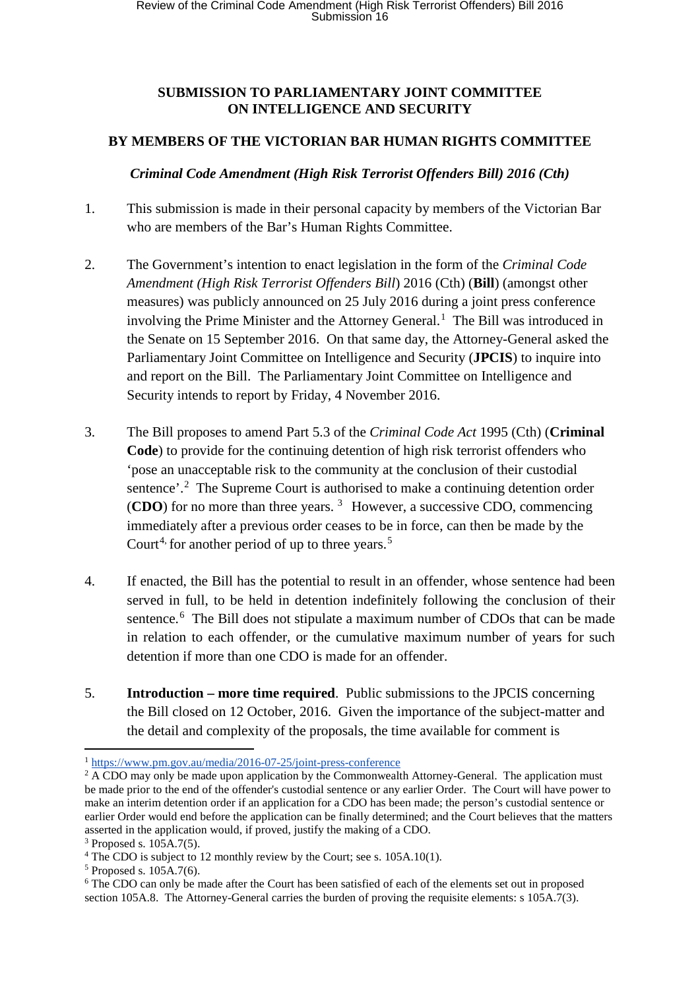#### **SUBMISSION TO PARLIAMENTARY JOINT COMMITTEE ON INTELLIGENCE AND SECURITY**

## **BY MEMBERS OF THE VICTORIAN BAR HUMAN RIGHTS COMMITTEE**

#### *Criminal Code Amendment (High Risk Terrorist Offenders Bill) 2016 (Cth)*

- 1. This submission is made in their personal capacity by members of the Victorian Bar who are members of the Bar's Human Rights Committee.
- 2. The Government's intention to enact legislation in the form of the *Criminal Code Amendment (High Risk Terrorist Offenders Bill*) 2016 (Cth) (**Bill**) (amongst other measures) was publicly announced on 25 July 2016 during a joint press conference involving the Prime Minister and the Attorney General.<sup>[1](#page-0-0)</sup> The Bill was introduced in the Senate on 15 September 2016. On that same day, the Attorney-General asked the Parliamentary Joint Committee on Intelligence and Security (**JPCIS**) to inquire into and report on the Bill. The Parliamentary Joint Committee on Intelligence and Security intends to report by Friday, 4 November 2016.
- 3. The Bill proposes to amend Part 5.3 of the *Criminal Code Act* 1995 (Cth) (**Criminal Code**) to provide for the continuing detention of high risk terrorist offenders who 'pose an unacceptable risk to the community at the conclusion of their custodial sentence'.<sup>[2](#page-0-1)</sup> The Supreme Court is authorised to make a continuing detention order (**CDO**) for no more than three years. [3](#page-0-2) However, a successive CDO, commencing immediately after a previous order ceases to be in force, can then be made by the Court<sup>[4,](#page-0-3)</sup> for another period of up to three years.<sup>[5](#page-0-4)</sup>
- 4. If enacted, the Bill has the potential to result in an offender, whose sentence had been served in full, to be held in detention indefinitely following the conclusion of their sentence.<sup>[6](#page-0-5)</sup> The Bill does not stipulate a maximum number of CDOs that can be made in relation to each offender, or the cumulative maximum number of years for such detention if more than one CDO is made for an offender.
- 5. **Introduction – more time required**. Public submissions to the JPCIS concerning the Bill closed on 12 October, 2016. Given the importance of the subject-matter and the detail and complexity of the proposals, the time available for comment is

<span id="page-0-0"></span> <sup>1</sup> https://www.pm.gov.au/media/2016-07-25/joint-press-conference

<span id="page-0-1"></span><sup>&</sup>lt;sup>2</sup> A CDO may only be made upon application by the Commonwealth Attorney-General. The application must be made prior to the end of the offender's custodial sentence or any earlier Order. The Court will have power to make an interim detention order if an application for a CDO has been made; the person's custodial sentence or earlier Order would end before the application can be finally determined; and the Court believes that the matters asserted in the application would, if proved, justify the making of a CDO.

<span id="page-0-2"></span> $3$  Proposed s.  $105A.7(5)$ .

<span id="page-0-3"></span><sup>&</sup>lt;sup>4</sup> The CDO is subject to 12 monthly review by the Court; see s. 105A.10(1).

<span id="page-0-4"></span> $5$  Proposed s.  $105$ A.7(6).

<span id="page-0-5"></span><sup>6</sup> The CDO can only be made after the Court has been satisfied of each of the elements set out in proposed section 105A.8. The Attorney-General carries the burden of proving the requisite elements: s 105A.7(3).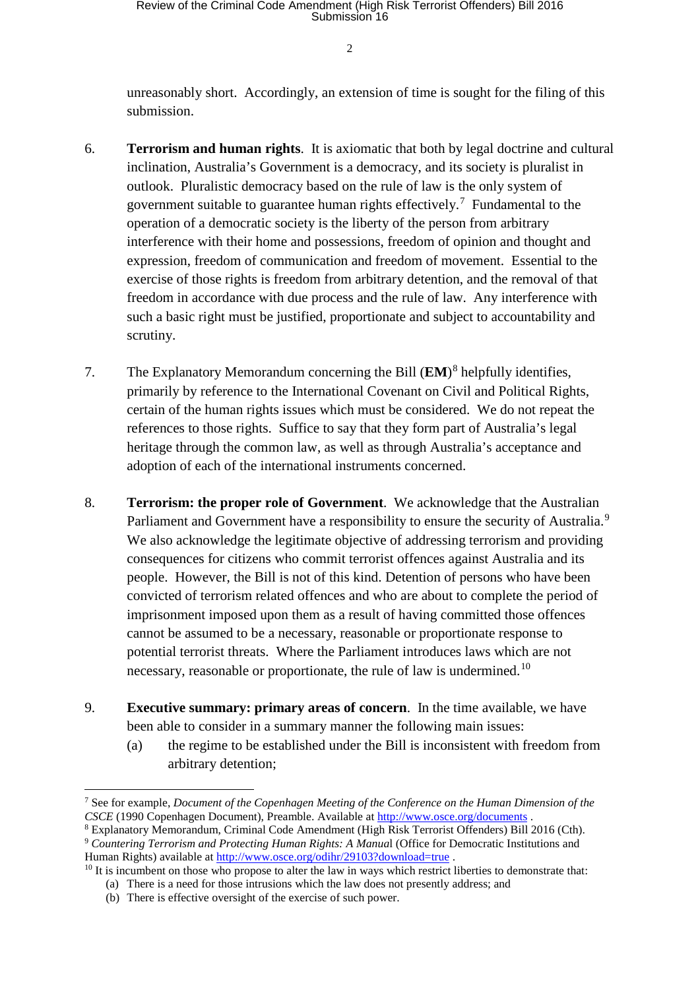unreasonably short. Accordingly, an extension of time is sought for the filing of this submission.

- 6. **Terrorism and human rights**. It is axiomatic that both by legal doctrine and cultural inclination, Australia's Government is a democracy, and its society is pluralist in outlook. Pluralistic democracy based on the rule of law is the only system of government suitable to guarantee human rights effectively.<sup>[7](#page-1-0)</sup> Fundamental to the operation of a democratic society is the liberty of the person from arbitrary interference with their home and possessions, freedom of opinion and thought and expression, freedom of communication and freedom of movement. Essential to the exercise of those rights is freedom from arbitrary detention, and the removal of that freedom in accordance with due process and the rule of law. Any interference with such a basic right must be justified, proportionate and subject to accountability and scrutiny.
- 7. The Explanatory Memorandum concerning the Bill (**EM**)[8](#page-1-1) helpfully identifies, primarily by reference to the International Covenant on Civil and Political Rights, certain of the human rights issues which must be considered. We do not repeat the references to those rights. Suffice to say that they form part of Australia's legal heritage through the common law, as well as through Australia's acceptance and adoption of each of the international instruments concerned.
- 8. **Terrorism: the proper role of Government**. We acknowledge that the Australian Parliament and Government have a responsibility to ensure the security of Australia.<sup>[9](#page-1-2)</sup> We also acknowledge the legitimate objective of addressing terrorism and providing consequences for citizens who commit terrorist offences against Australia and its people. However, the Bill is not of this kind. Detention of persons who have been convicted of terrorism related offences and who are about to complete the period of imprisonment imposed upon them as a result of having committed those offences cannot be assumed to be a necessary, reasonable or proportionate response to potential terrorist threats. Where the Parliament introduces laws which are not necessary, reasonable or proportionate, the rule of law is undermined.<sup>[10](#page-1-3)</sup>
- 9. **Executive summary: primary areas of concern**. In the time available, we have been able to consider in a summary manner the following main issues:
	- (a) the regime to be established under the Bill is inconsistent with freedom from arbitrary detention;

<span id="page-1-0"></span> <sup>7</sup> See for example, *Document of the Copenhagen Meeting of the Conference on the Human Dimension of the CSCE* (1990 Copenhagen Document), Preamble. Available at<http://www.osce.org/documents> .

<span id="page-1-1"></span><sup>8</sup> Explanatory Memorandum, Criminal Code Amendment (High Risk Terrorist Offenders) Bill 2016 (Cth).

<span id="page-1-2"></span><sup>9</sup> *Countering Terrorism and Protecting Human Rights: A Manua*l (Office for Democratic Institutions and Human Rights) available at<http://www.osce.org/odihr/29103?download=true> .

<span id="page-1-3"></span><sup>&</sup>lt;sup>10</sup> It is incumbent on those who propose to alter the law in ways which restrict liberties to demonstrate that:

<sup>(</sup>a) There is a need for those intrusions which the law does not presently address; and

<sup>(</sup>b) There is effective oversight of the exercise of such power.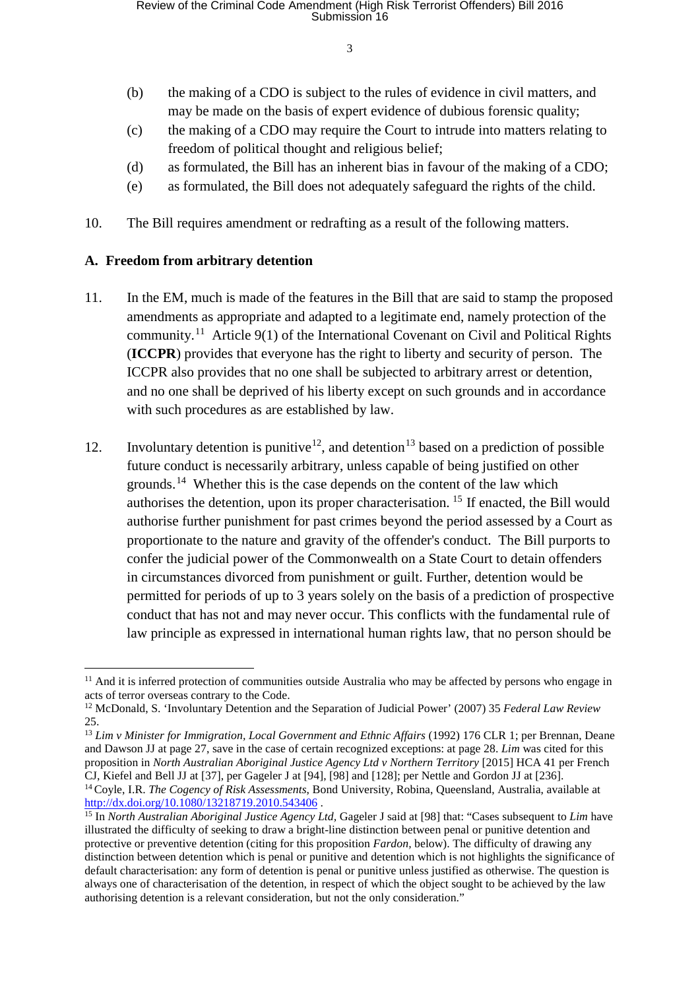- (b) the making of a CDO is subject to the rules of evidence in civil matters, and may be made on the basis of expert evidence of dubious forensic quality;
- (c) the making of a CDO may require the Court to intrude into matters relating to freedom of political thought and religious belief;
- (d) as formulated, the Bill has an inherent bias in favour of the making of a CDO;
- (e) as formulated, the Bill does not adequately safeguard the rights of the child.
- 10. The Bill requires amendment or redrafting as a result of the following matters.

#### **A. Freedom from arbitrary detention**

- 11. In the EM, much is made of the features in the Bill that are said to stamp the proposed amendments as appropriate and adapted to a legitimate end, namely protection of the community.<sup>[11](#page-2-0)</sup> Article 9(1) of the International Covenant on Civil and Political Rights (**ICCPR**) provides that everyone has the right to liberty and security of person. The ICCPR also provides that no one shall be subjected to arbitrary arrest or detention, and no one shall be deprived of his liberty except on such grounds and in accordance with such procedures as are established by law.
- 12. Involuntary detention is punitive<sup>12</sup>, and detention<sup>[13](#page-2-2)</sup> based on a prediction of possible future conduct is necessarily arbitrary, unless capable of being justified on other grounds.<sup>[14](#page-2-3)</sup> Whether this is the case depends on the content of the law which authorises the detention, upon its proper characterisation. [15](#page-2-4) If enacted, the Bill would authorise further punishment for past crimes beyond the period assessed by a Court as proportionate to the nature and gravity of the offender's conduct. The Bill purports to confer the judicial power of the Commonwealth on a State Court to detain offenders in circumstances divorced from punishment or guilt. Further, detention would be permitted for periods of up to 3 years solely on the basis of a prediction of prospective conduct that has not and may never occur. This conflicts with the [fundamental rule of](http://www.smh.com.au/comment/why-malcolm-turnbull-must-dump-the-citizenship-bill-20151004-gk0rgx.html)  [law principle](http://www.smh.com.au/comment/why-malcolm-turnbull-must-dump-the-citizenship-bill-20151004-gk0rgx.html) as expressed in international human rights law, that no person should be

<span id="page-2-0"></span><sup>&</sup>lt;sup>11</sup> And it is inferred protection of communities outside Australia who may be affected by persons who engage in acts of terror overseas contrary to the Code.

<span id="page-2-1"></span><sup>12</sup> McDonald, S. 'Involuntary Detention and the Separation of Judicial Power' (2007) 35 *Federal Law Review* 25.

<span id="page-2-2"></span><sup>13</sup> *Lim v Minister for Immigration, Local Government and Ethnic Affairs* (1992) 176 CLR 1; per Brennan, Deane and Dawson JJ at page 27, save in the case of certain recognized exceptions: at page 28. *Lim* was cited for this proposition in *North Australian Aboriginal Justice Agency Ltd v Northern Territory* [2015] HCA 41 per French CJ, Kiefel and Bell JJ at [37], per Gageler J at [94], [98] and [128]; per Nettle and Gordon JJ at [236]. <sup>14</sup> Coyle, I.R. *The Cogency of Risk Assessments*, Bond University, Robina, Queensland, Australia, available at <http://dx.doi.org/10.1080/13218719.2010.543406> .

<span id="page-2-4"></span><span id="page-2-3"></span><sup>&</sup>lt;sup>15</sup> In *North Australian Aboriginal Justice Agency Ltd, Gageler J said at [98] that: "Cases subsequent to <i>Lim* have illustrated the difficulty of seeking to draw a bright-line distinction between penal or punitive detention and protective or preventive detention (citing for this proposition *Fardon,* below). The difficulty of drawing any distinction between detention which is penal or punitive and detention which is not highlights the significance of default characterisation: any form of detention is penal or punitive unless justified as otherwise. The question is always one of characterisation of the detention, in respect of which the object sought to be achieved by the law authorising detention is a relevant consideration, but not the only consideration."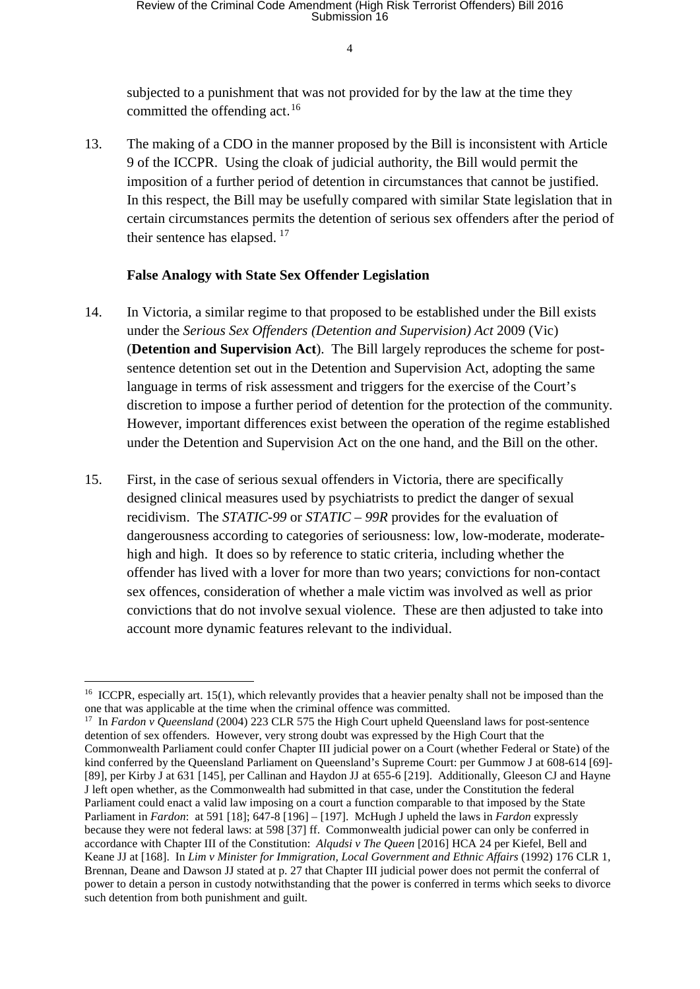subjected to a punishment that was not provided for by the law at the time they committed the offending act.<sup>[16](#page-3-0)</sup>

13. The making of a CDO in the manner proposed by the Bill is inconsistent with Article 9 of the ICCPR. Using the cloak of judicial authority, the Bill would permit the imposition of a further period of detention in circumstances that cannot be justified. In this respect, the Bill may be usefully compared with similar State legislation that in certain circumstances permits the detention of serious sex offenders after the period of their sentence has elapsed.<sup>[17](#page-3-1)</sup>

#### **False Analogy with State Sex Offender Legislation**

- 14. In Victoria, a similar regime to that proposed to be established under the Bill exists under the *Serious Sex Offenders (Detention and Supervision) Act* 2009 (Vic) (**Detention and Supervision Act**). The Bill largely reproduces the scheme for postsentence detention set out in the Detention and Supervision Act, adopting the same language in terms of risk assessment and triggers for the exercise of the Court's discretion to impose a further period of detention for the protection of the community. However, important differences exist between the operation of the regime established under the Detention and Supervision Act on the one hand, and the Bill on the other.
- 15. First, in the case of serious sexual offenders in Victoria, there are specifically designed clinical measures used by psychiatrists to predict the danger of sexual recidivism. The *STATIC-99* or *STATIC – 99R* provides for the evaluation of dangerousness according to categories of seriousness: low, low-moderate, moderatehigh and high. It does so by reference to static criteria, including whether the offender has lived with a lover for more than two years; convictions for non-contact sex offences, consideration of whether a male victim was involved as well as prior convictions that do not involve sexual violence. These are then adjusted to take into account more dynamic features relevant to the individual.

<span id="page-3-0"></span><sup>&</sup>lt;sup>16</sup> ICCPR, especially art. 15(1), which relevantly provides that a heavier penalty shall not be imposed than the one that was applicable at the time when the criminal offence was committed.

<span id="page-3-1"></span><sup>17</sup> In *Fardon v Queensland* (2004) 223 CLR 575 the High Court upheld Queensland laws for post-sentence detention of sex offenders. However, very strong doubt was expressed by the High Court that the Commonwealth Parliament could confer Chapter III judicial power on a Court (whether Federal or State) of the kind conferred by the Queensland Parliament on Queensland's Supreme Court: per Gummow J at 608-614 [69]-[89], per Kirby J at 631 [145], per Callinan and Haydon JJ at 655-6 [219]. Additionally, Gleeson CJ and Hayne J left open whether, as the Commonwealth had submitted in that case, under the Constitution the federal Parliament could enact a valid law imposing on a court a function comparable to that imposed by the State Parliament in *Fardon*: at 591 [18]; 647-8 [196] – [197]. McHugh J upheld the laws in *Fardon* expressly because they were not federal laws: at 598 [37] ff. Commonwealth judicial power can only be conferred in accordance with Chapter III of the Constitution: *Alqudsi v The Queen* [2016] HCA 24 per Kiefel, Bell and Keane JJ at [168]. In *Lim v Minister for Immigration, Local Government and Ethnic Affairs* (1992) 176 CLR 1*,* Brennan, Deane and Dawson JJ stated at p. 27 that Chapter III judicial power does not permit the conferral of power to detain a person in custody notwithstanding that the power is conferred in terms which seeks to divorce such detention from both punishment and guilt.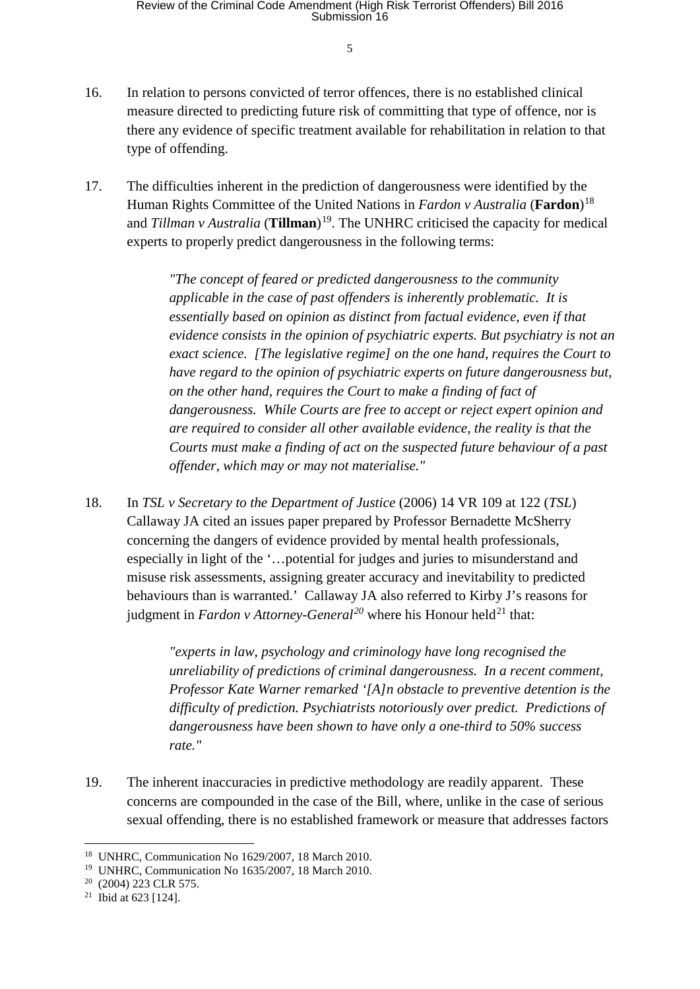- 16. In relation to persons convicted of terror offences, there is no established clinical measure directed to predicting future risk of committing that type of offence, nor is there any evidence of specific treatment available for rehabilitation in relation to that type of offending.
- 17. The difficulties inherent in the prediction of dangerousness were identified by the Human Rights Committee of the United Nations in *Fardon v Australia* (**Fardon**) [18](#page-4-0) and *Tillman v Australia* (**Tillman**) [19](#page-4-1). The UNHRC criticised the capacity for medical experts to properly predict dangerousness in the following terms:

*"The concept of feared or predicted dangerousness to the community applicable in the case of past offenders is inherently problematic. It is essentially based on opinion as distinct from factual evidence, even if that evidence consists in the opinion of psychiatric experts. But psychiatry is not an exact science. [The legislative regime] on the one hand, requires the Court to have regard to the opinion of psychiatric experts on future dangerousness but, on the other hand, requires the Court to make a finding of fact of dangerousness. While Courts are free to accept or reject expert opinion and are required to consider all other available evidence, the reality is that the Courts must make a finding of act on the suspected future behaviour of a past offender, which may or may not materialise."* 

18. In *TSL v Secretary to the Department of Justice* (2006) 14 VR 109 at 122 (*TSL*) Callaway JA cited an issues paper prepared by Professor Bernadette McSherry concerning the dangers of evidence provided by mental health professionals, especially in light of the '…potential for judges and juries to misunderstand and misuse risk assessments, assigning greater accuracy and inevitability to predicted behaviours than is warranted.' Callaway JA also referred to Kirby J's reasons for judgment in *Fardon v Attorney-General<sup>[20](#page-4-2)</sup>* where his Honour held<sup>[21](#page-4-3)</sup> that:

> *"experts in law, psychology and criminology have long recognised the unreliability of predictions of criminal dangerousness. In a recent comment, Professor Kate Warner remarked '[A]n obstacle to preventive detention is the difficulty of prediction. Psychiatrists notoriously over predict. Predictions of dangerousness have been shown to have only a one-third to 50% success rate."*

19. The inherent inaccuracies in predictive methodology are readily apparent. These concerns are compounded in the case of the Bill, where, unlike in the case of serious sexual offending, there is no established framework or measure that addresses factors

<span id="page-4-0"></span> <sup>18</sup> UNHRC, Communication No 1629/2007, 18 March 2010.

<span id="page-4-1"></span><sup>19</sup> UNHRC, Communication No 1635/2007, 18 March 2010.

<span id="page-4-2"></span><sup>20</sup> (2004) 223 CLR 575.

<span id="page-4-3"></span><sup>21</sup> Ibid at 623 [124].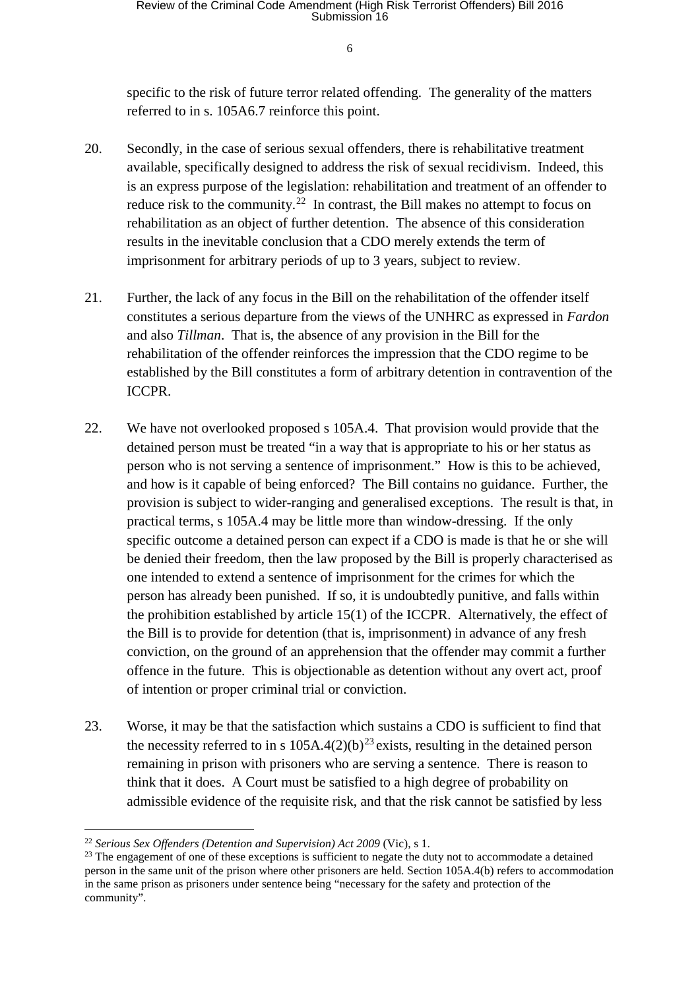specific to the risk of future terror related offending. The generality of the matters referred to in s. 105A6.7 reinforce this point.

- 20. Secondly, in the case of serious sexual offenders, there is rehabilitative treatment available, specifically designed to address the risk of sexual recidivism. Indeed, this is an express purpose of the legislation: rehabilitation and treatment of an offender to reduce risk to the community.<sup>[22](#page-5-0)</sup> In contrast, the Bill makes no attempt to focus on rehabilitation as an object of further detention. The absence of this consideration results in the inevitable conclusion that a CDO merely extends the term of imprisonment for arbitrary periods of up to 3 years, subject to review.
- 21. Further, the lack of any focus in the Bill on the rehabilitation of the offender itself constitutes a serious departure from the views of the UNHRC as expressed in *Fardon* and also *Tillman*. That is, the absence of any provision in the Bill for the rehabilitation of the offender reinforces the impression that the CDO regime to be established by the Bill constitutes a form of arbitrary detention in contravention of the ICCPR.
- 22. We have not overlooked proposed s 105A.4. That provision would provide that the detained person must be treated "in a way that is appropriate to his or her status as person who is not serving a sentence of imprisonment." How is this to be achieved, and how is it capable of being enforced? The Bill contains no guidance. Further, the provision is subject to wider-ranging and generalised exceptions. The result is that, in practical terms, s 105A.4 may be little more than window-dressing. If the only specific outcome a detained person can expect if a CDO is made is that he or she will be denied their freedom, then the law proposed by the Bill is properly characterised as one intended to extend a sentence of imprisonment for the crimes for which the person has already been punished. If so, it is undoubtedly punitive, and falls within the prohibition established by article 15(1) of the ICCPR. Alternatively, the effect of the Bill is to provide for detention (that is, imprisonment) in advance of any fresh conviction, on the ground of an apprehension that the offender may commit a further offence in the future. This is objectionable as detention without any overt act, proof of intention or proper criminal trial or conviction.
- 23. Worse, it may be that the satisfaction which sustains a CDO is sufficient to find that the necessity referred to in s  $105A.4(2)(b)^{23}$  $105A.4(2)(b)^{23}$  $105A.4(2)(b)^{23}$  exists, resulting in the detained person remaining in prison with prisoners who are serving a sentence. There is reason to think that it does. A Court must be satisfied to a high degree of probability on admissible evidence of the requisite risk, and that the risk cannot be satisfied by less

<span id="page-5-0"></span> <sup>22</sup> *Serious Sex Offenders (Detention and Supervision) Act <sup>2009</sup>* (Vic), s 1.

<span id="page-5-1"></span><sup>&</sup>lt;sup>23</sup> The engagement of one of these exceptions is sufficient to negate the duty not to accommodate a detained person in the same unit of the prison where other prisoners are held. Section 105A.4(b) refers to accommodation in the same prison as prisoners under sentence being "necessary for the safety and protection of the community".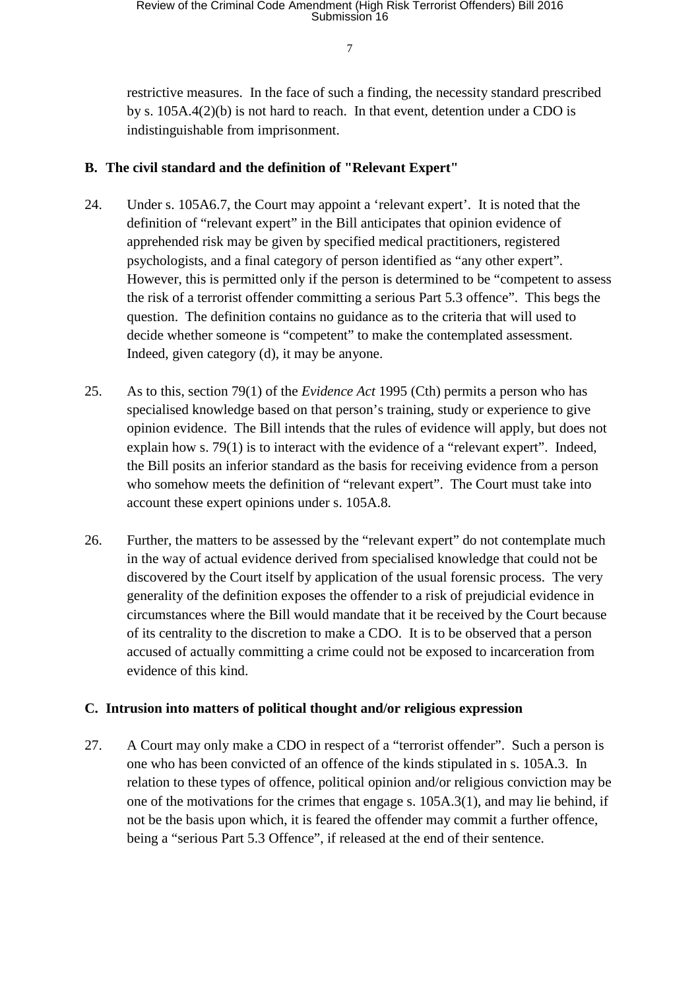# Review of the Criminal Code Amendment (High Risk Terrorist Offenders) Bill 2016<br>Submission 16

7

restrictive measures. In the face of such a finding, the necessity standard prescribed by s. 105A.4(2)(b) is not hard to reach. In that event, detention under a CDO is indistinguishable from imprisonment.

## **B. The civil standard and the definition of "Relevant Expert"**

- 24. Under s. 105A6.7, the Court may appoint a 'relevant expert'. It is noted that the definition of "relevant expert" in the Bill anticipates that opinion evidence of apprehended risk may be given by specified medical practitioners, registered psychologists, and a final category of person identified as "any other expert". However, this is permitted only if the person is determined to be "competent to assess the risk of a terrorist offender committing a serious Part 5.3 offence". This begs the question. The definition contains no guidance as to the criteria that will used to decide whether someone is "competent" to make the contemplated assessment. Indeed, given category (d), it may be anyone.
- 25. As to this, section 79(1) of the *Evidence Act* 1995 (Cth) permits a person who has specialised knowledge based on that person's training, study or experience to give opinion evidence. The Bill intends that the rules of evidence will apply, but does not explain how s. 79(1) is to interact with the evidence of a "relevant expert". Indeed, the Bill posits an inferior standard as the basis for receiving evidence from a person who somehow meets the definition of "relevant expert". The Court must take into account these expert opinions under s. 105A.8.
- 26. Further, the matters to be assessed by the "relevant expert" do not contemplate much in the way of actual evidence derived from specialised knowledge that could not be discovered by the Court itself by application of the usual forensic process. The very generality of the definition exposes the offender to a risk of prejudicial evidence in circumstances where the Bill would mandate that it be received by the Court because of its centrality to the discretion to make a CDO. It is to be observed that a person accused of actually committing a crime could not be exposed to incarceration from evidence of this kind.

# **C. Intrusion into matters of political thought and/or religious expression**

27. A Court may only make a CDO in respect of a "terrorist offender". Such a person is one who has been convicted of an offence of the kinds stipulated in s. 105A.3. In relation to these types of offence, political opinion and/or religious conviction may be one of the motivations for the crimes that engage s. 105A.3(1), and may lie behind, if not be the basis upon which, it is feared the offender may commit a further offence, being a "serious Part 5.3 Offence", if released at the end of their sentence.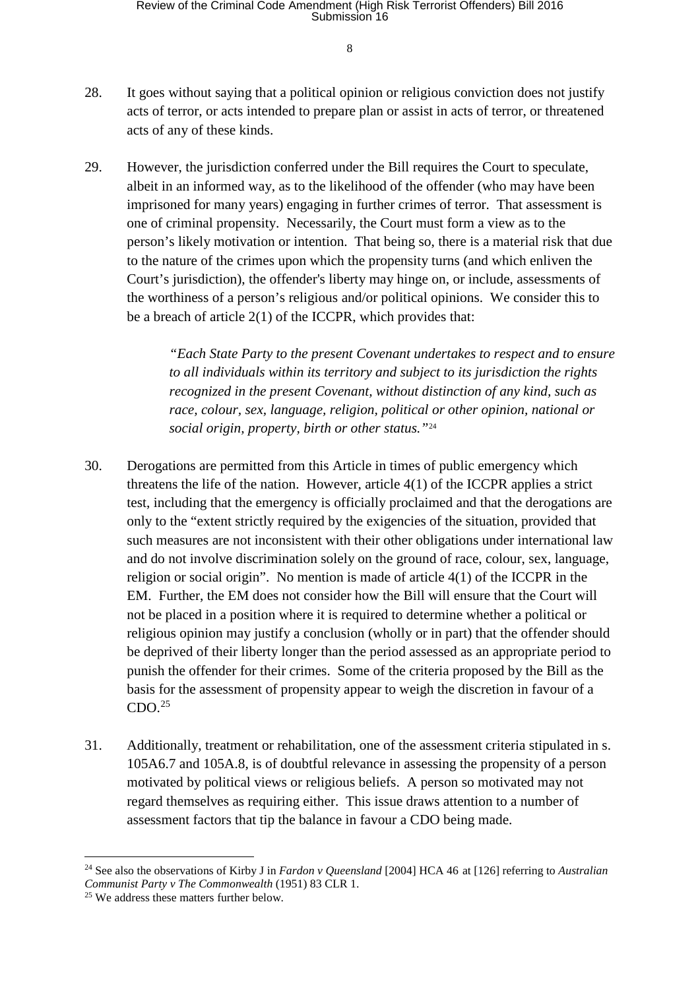- 28. It goes without saying that a political opinion or religious conviction does not justify acts of terror, or acts intended to prepare plan or assist in acts of terror, or threatened acts of any of these kinds.
- 29. However, the jurisdiction conferred under the Bill requires the Court to speculate, albeit in an informed way, as to the likelihood of the offender (who may have been imprisoned for many years) engaging in further crimes of terror. That assessment is one of criminal propensity. Necessarily, the Court must form a view as to the person's likely motivation or intention. That being so, there is a material risk that due to the nature of the crimes upon which the propensity turns (and which enliven the Court's jurisdiction), the offender's liberty may hinge on, or include, assessments of the worthiness of a person's religious and/or political opinions. We consider this to be a breach of article 2(1) of the ICCPR, which provides that:

*"Each State Party to the present Covenant undertakes to respect and to ensure to all individuals within its territory and subject to its jurisdiction the rights recognized in the present Covenant, without distinction of any kind, such as race, colour, sex, language, religion, political or other opinion, national or social origin, property, birth or other status."*[24](#page-7-0)

- 30. Derogations are permitted from this Article in times of public emergency which threatens the life of the nation. However, article 4(1) of the ICCPR applies a strict test, including that the emergency is officially proclaimed and that the derogations are only to the "extent strictly required by the exigencies of the situation, provided that such measures are not inconsistent with their other obligations under international law and do not involve discrimination solely on the ground of race, colour, sex, language, religion or social origin". No mention is made of article 4(1) of the ICCPR in the EM. Further, the EM does not consider how the Bill will ensure that the Court will not be placed in a position where it is required to determine whether a political or religious opinion may justify a conclusion (wholly or in part) that the offender should be deprived of their liberty longer than the period assessed as an appropriate period to punish the offender for their crimes. Some of the criteria proposed by the Bill as the basis for the assessment of propensity appear to weigh the discretion in favour of a  $CDO.<sup>25</sup>$  $CDO.<sup>25</sup>$  $CDO.<sup>25</sup>$
- 31. Additionally, treatment or rehabilitation, one of the assessment criteria stipulated in s. 105A6.7 and 105A.8, is of doubtful relevance in assessing the propensity of a person motivated by political views or religious beliefs. A person so motivated may not regard themselves as requiring either. This issue draws attention to a number of assessment factors that tip the balance in favour a CDO being made.

<span id="page-7-0"></span> <sup>24</sup> See also the observations of Kirby J in *Fardon v Queensland* [2004] HCA 46 at [126] referring to *Australian Communist Party v The Commonwealth* (1951) 83 CLR 1.

<span id="page-7-1"></span><sup>&</sup>lt;sup>25</sup> We address these matters further below.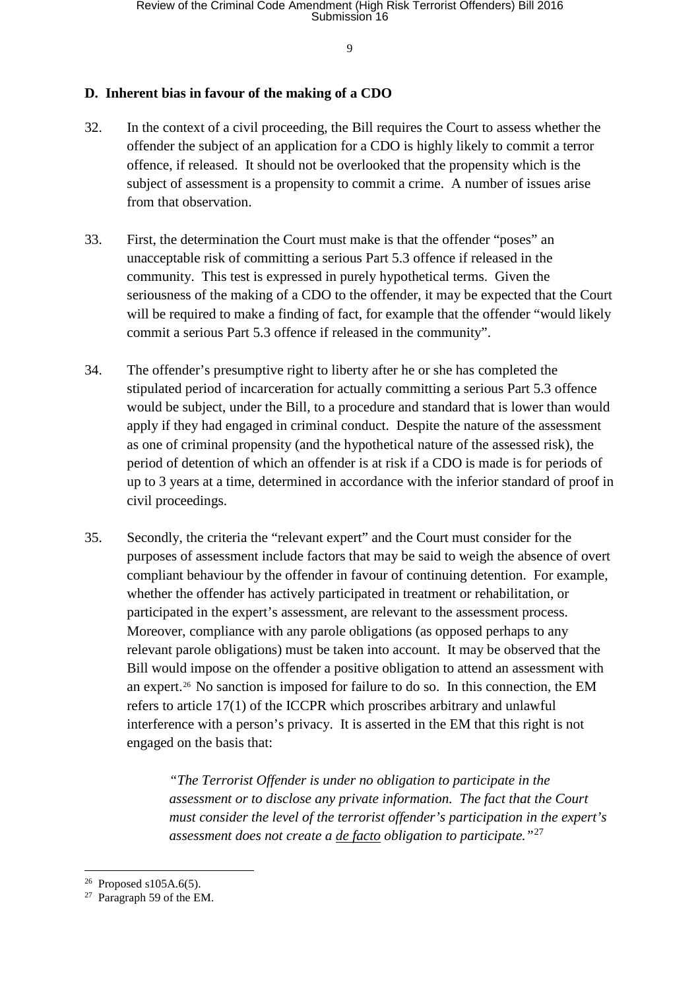## **D. Inherent bias in favour of the making of a CDO**

- 32. In the context of a civil proceeding, the Bill requires the Court to assess whether the offender the subject of an application for a CDO is highly likely to commit a terror offence, if released. It should not be overlooked that the propensity which is the subject of assessment is a propensity to commit a crime. A number of issues arise from that observation.
- 33. First, the determination the Court must make is that the offender "poses" an unacceptable risk of committing a serious Part 5.3 offence if released in the community. This test is expressed in purely hypothetical terms. Given the seriousness of the making of a CDO to the offender, it may be expected that the Court will be required to make a finding of fact, for example that the offender "would likely commit a serious Part 5.3 offence if released in the community".
- 34. The offender's presumptive right to liberty after he or she has completed the stipulated period of incarceration for actually committing a serious Part 5.3 offence would be subject, under the Bill, to a procedure and standard that is lower than would apply if they had engaged in criminal conduct. Despite the nature of the assessment as one of criminal propensity (and the hypothetical nature of the assessed risk), the period of detention of which an offender is at risk if a CDO is made is for periods of up to 3 years at a time, determined in accordance with the inferior standard of proof in civil proceedings.
- 35. Secondly, the criteria the "relevant expert" and the Court must consider for the purposes of assessment include factors that may be said to weigh the absence of overt compliant behaviour by the offender in favour of continuing detention. For example, whether the offender has actively participated in treatment or rehabilitation, or participated in the expert's assessment, are relevant to the assessment process. Moreover, compliance with any parole obligations (as opposed perhaps to any relevant parole obligations) must be taken into account. It may be observed that the Bill would impose on the offender a positive obligation to attend an assessment with an expert.[26](#page-8-0) No sanction is imposed for failure to do so. In this connection, the EM refers to article 17(1) of the ICCPR which proscribes arbitrary and unlawful interference with a person's privacy. It is asserted in the EM that this right is not engaged on the basis that:

*"The Terrorist Offender is under no obligation to participate in the assessment or to disclose any private information. The fact that the Court must consider the level of the terrorist offender's participation in the expert's assessment does not create a de facto obligation to participate."*[27](#page-8-1)

<span id="page-8-0"></span><sup>&</sup>lt;sup>26</sup> Proposed s105A.6(5).

<span id="page-8-1"></span><sup>27</sup> Paragraph 59 of the EM.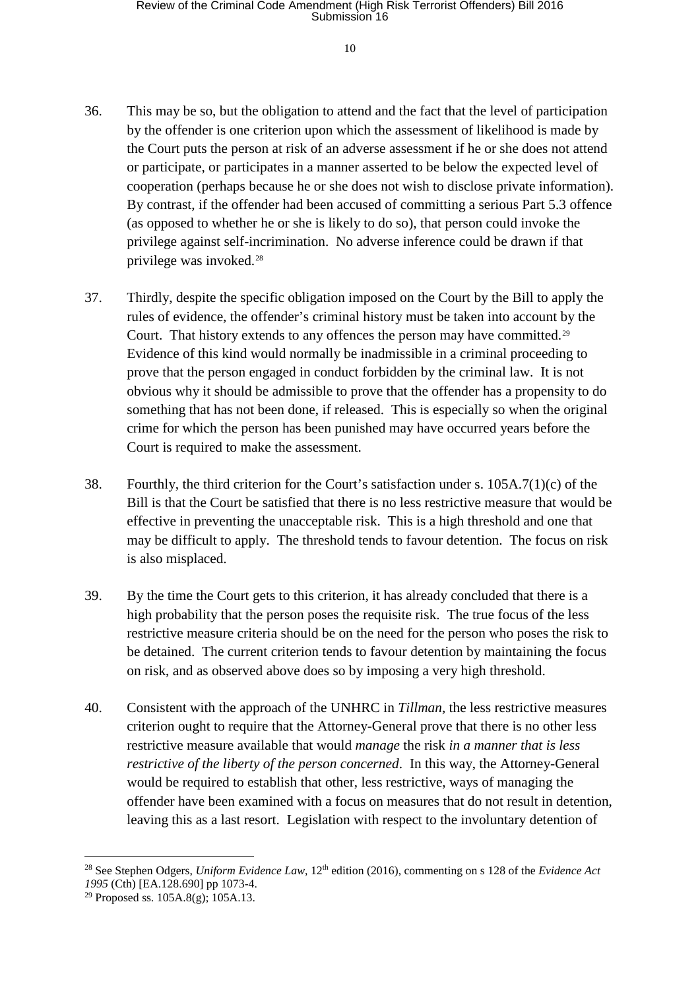- 36. This may be so, but the obligation to attend and the fact that the level of participation by the offender is one criterion upon which the assessment of likelihood is made by the Court puts the person at risk of an adverse assessment if he or she does not attend or participate, or participates in a manner asserted to be below the expected level of cooperation (perhaps because he or she does not wish to disclose private information). By contrast, if the offender had been accused of committing a serious Part 5.3 offence (as opposed to whether he or she is likely to do so), that person could invoke the privilege against self-incrimination. No adverse inference could be drawn if that privilege was invoked.[28](#page-9-0)
- 37. Thirdly, despite the specific obligation imposed on the Court by the Bill to apply the rules of evidence, the offender's criminal history must be taken into account by the Court. That history extends to any offences the person may have committed.<sup>[29](#page-9-1)</sup> Evidence of this kind would normally be inadmissible in a criminal proceeding to prove that the person engaged in conduct forbidden by the criminal law. It is not obvious why it should be admissible to prove that the offender has a propensity to do something that has not been done, if released. This is especially so when the original crime for which the person has been punished may have occurred years before the Court is required to make the assessment.
- 38. Fourthly, the third criterion for the Court's satisfaction under s. 105A.7(1)(c) of the Bill is that the Court be satisfied that there is no less restrictive measure that would be effective in preventing the unacceptable risk. This is a high threshold and one that may be difficult to apply. The threshold tends to favour detention. The focus on risk is also misplaced.
- 39. By the time the Court gets to this criterion, it has already concluded that there is a high probability that the person poses the requisite risk. The true focus of the less restrictive measure criteria should be on the need for the person who poses the risk to be detained. The current criterion tends to favour detention by maintaining the focus on risk, and as observed above does so by imposing a very high threshold.
- 40. Consistent with the approach of the UNHRC in *Tillman*, the less restrictive measures criterion ought to require that the Attorney-General prove that there is no other less restrictive measure available that would *manage* the risk *in a manner that is less restrictive of the liberty of the person concerned*. In this way, the Attorney-General would be required to establish that other, less restrictive, ways of managing the offender have been examined with a focus on measures that do not result in detention, leaving this as a last resort. Legislation with respect to the involuntary detention of

<span id="page-9-0"></span><sup>&</sup>lt;sup>28</sup> See Stephen Odgers, *Uniform Evidence Law*, 12<sup>th</sup> edition (2016), commenting on s 128 of the *Evidence Act 1995* (Cth) [EA.128.690] pp 1073-4.

<span id="page-9-1"></span><sup>&</sup>lt;sup>29</sup> Proposed ss.  $105A.8(g)$ ;  $105A.13$ .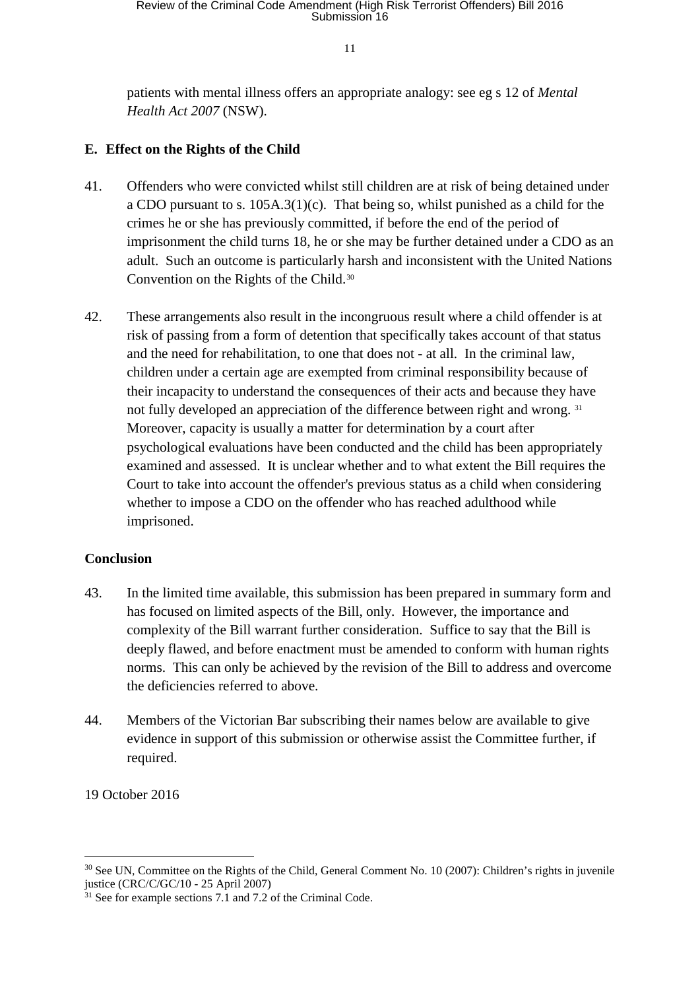patients with mental illness offers an appropriate analogy: see eg s 12 of *Mental Health Act 2007* (NSW).

## **E. Effect on the Rights of the Child**

- 41. Offenders who were convicted whilst still children are at risk of being detained under a CDO pursuant to s. 105A.3(1)(c). That being so, whilst punished as a child for the crimes he or she has previously committed, if before the end of the period of imprisonment the child turns 18, he or she may be further detained under a CDO as an adult. Such an outcome is particularly harsh and inconsistent with the United Nations Convention on the Rights of the Child.[30](#page-10-0)
- 42. These arrangements also result in the incongruous result where a child offender is at risk of passing from a form of detention that specifically takes account of that status and the need for rehabilitation, to one that does not - at all. In the criminal law, children under a certain age are exempted from criminal responsibility because of their incapacity to understand the consequences of their acts and because they have not fully developed an appreciation of the difference between right and wrong. [31](#page-10-1) Moreover, capacity is usually a matter for determination by a court after psychological evaluations have been conducted and the child has been appropriately examined and assessed. It is unclear whether and to what extent the Bill requires the Court to take into account the offender's previous status as a child when considering whether to impose a CDO on the offender who has reached adulthood while imprisoned.

# **Conclusion**

- 43. In the limited time available, this submission has been prepared in summary form and has focused on limited aspects of the Bill, only. However, the importance and complexity of the Bill warrant further consideration. Suffice to say that the Bill is deeply flawed, and before enactment must be amended to conform with human rights norms. This can only be achieved by the revision of the Bill to address and overcome the deficiencies referred to above.
- 44. Members of the Victorian Bar subscribing their names below are available to give evidence in support of this submission or otherwise assist the Committee further, if required.

#### 19 October 2016

<span id="page-10-0"></span><sup>&</sup>lt;sup>30</sup> See UN, Committee on the Rights of the Child, General Comment No. 10 (2007): Children's rights in juvenile justice (CRC/C/GC/10 - 25 April 2007)

<span id="page-10-1"></span> $31$  See for example sections 7.1 and 7.2 of the Criminal Code.